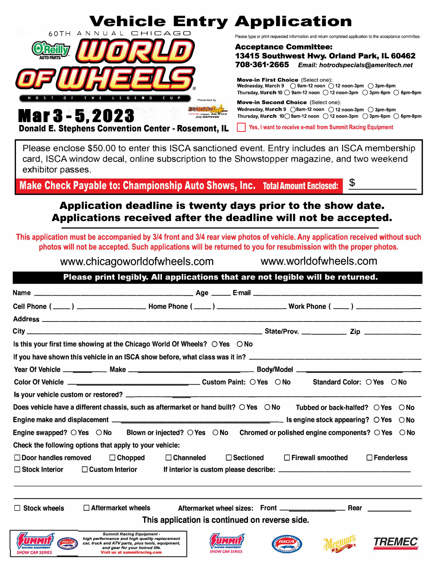

## **Application deadline is twenty days prior to the show date. Applications received after the deadline will not be accepted.**

This application must be accompanied by 3/4 front and 3/4 rear view photos of vehicle. Any application received without such photos will not be accepted. Such applications will be returned to you for resubmission with the proper photos.

www.chicagoworldofwheels.com www.worldofwheels.com

| Please print legibly. All applications that are not legible will be returned. |  |
|-------------------------------------------------------------------------------|--|
|-------------------------------------------------------------------------------|--|

| Is this your first time showing at the Chicago World Of Wheels? $\bigcirc$ Yes $\bigcirc$ No                                                                                |
|-----------------------------------------------------------------------------------------------------------------------------------------------------------------------------|
|                                                                                                                                                                             |
|                                                                                                                                                                             |
|                                                                                                                                                                             |
|                                                                                                                                                                             |
| Does vehicle have a different chassis, such as aftermarket or hand built? $\bigcirc$ Yes $\hspace{.1cm} \bigcirc$ No<br>Tubbed or back-halfed? $\bigcirc$ Yes $\bigcirc$ No |
|                                                                                                                                                                             |
| Engine swapped? $\bigcirc$ Yes $\bigcirc$ No Blown or injected? $\bigcirc$ Yes $\bigcirc$ No Chromed or polished engine components? $\bigcirc$ Yes $\bigcirc$ No            |
| Check the following options that apply to your vehicle:                                                                                                                     |
| $\Box$ Door handles removed $\Box$ Chopped<br>$\Box$ Sectioned<br>$\Box$ Firewall smoothed<br>$\Box$ Channeled<br>$\Box$ Fenderless                                         |
| $\Box$ Stock Interior                                                                                                                                                       |
|                                                                                                                                                                             |
| $\Box$ Stock wheels<br>$\Box$ Aftermarket wheels                                                                                                                            |
| This application is continued on reverse side.                                                                                                                              |